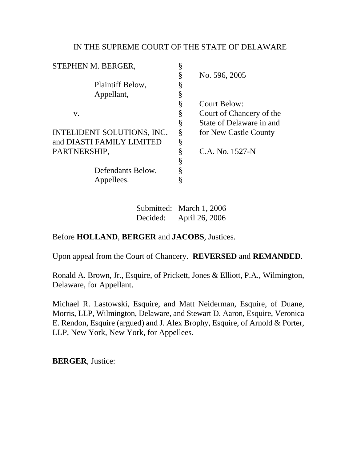# IN THE SUPREME COURT OF THE STATE OF DELAWARE

| STEPHEN M. BERGER,         |   |                          |
|----------------------------|---|--------------------------|
|                            | § | No. 596, 2005            |
| Plaintiff Below,           |   |                          |
| Appellant,                 |   |                          |
|                            | § | <b>Court Below:</b>      |
| V.                         | § | Court of Chancery of the |
|                            | § | State of Delaware in and |
| INTELIDENT SOLUTIONS, INC. | Ş | for New Castle County    |
| and DIASTI FAMILY LIMITED  | Ş |                          |
| PARTNERSHIP,               | ş | C.A. No. 1527-N          |
|                            | Ş |                          |
| Defendants Below,          |   |                          |
| Appellees.                 |   |                          |
|                            |   |                          |

Submitted: March 1, 2006 Decided: April 26, 2006

# Before **HOLLAND**, **BERGER** and **JACOBS**, Justices.

Upon appeal from the Court of Chancery. **REVERSED** and **REMANDED**.

Ronald A. Brown, Jr., Esquire, of Prickett, Jones & Elliott, P.A., Wilmington, Delaware, for Appellant.

Michael R. Lastowski, Esquire, and Matt Neiderman, Esquire, of Duane, Morris, LLP, Wilmington, Delaware, and Stewart D. Aaron, Esquire, Veronica E. Rendon, Esquire (argued) and J. Alex Brophy, Esquire, of Arnold & Porter, LLP, New York, New York, for Appellees.

**BERGER**, Justice: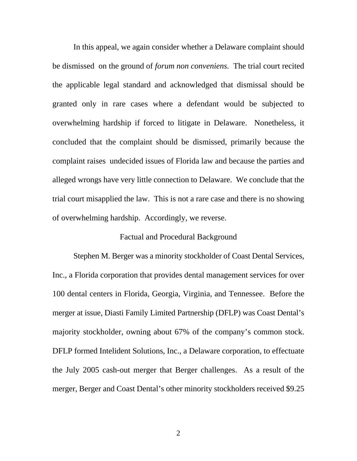In this appeal, we again consider whether a Delaware complaint should be dismissed on the ground of *forum non conveniens.* The trial court recited the applicable legal standard and acknowledged that dismissal should be granted only in rare cases where a defendant would be subjected to overwhelming hardship if forced to litigate in Delaware. Nonetheless, it concluded that the complaint should be dismissed, primarily because the complaint raises undecided issues of Florida law and because the parties and alleged wrongs have very little connection to Delaware. We conclude that the trial court misapplied the law. This is not a rare case and there is no showing of overwhelming hardship. Accordingly, we reverse.

### Factual and Procedural Background

Stephen M. Berger was a minority stockholder of Coast Dental Services, Inc., a Florida corporation that provides dental management services for over 100 dental centers in Florida, Georgia, Virginia, and Tennessee. Before the merger at issue, Diasti Family Limited Partnership (DFLP) was Coast Dental's majority stockholder, owning about 67% of the company's common stock. DFLP formed Intelident Solutions, Inc., a Delaware corporation, to effectuate the July 2005 cash-out merger that Berger challenges. As a result of the merger, Berger and Coast Dental's other minority stockholders received \$9.25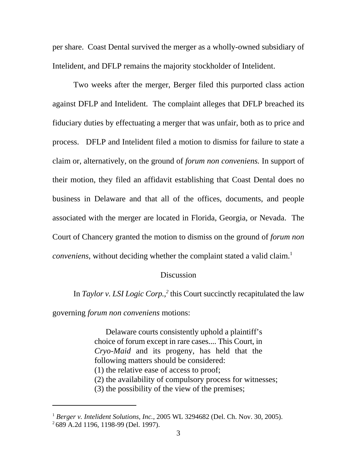per share. Coast Dental survived the merger as a wholly-owned subsidiary of Intelident, and DFLP remains the majority stockholder of Intelident.

Two weeks after the merger, Berger filed this purported class action against DFLP and Intelident. The complaint alleges that DFLP breached its fiduciary duties by effectuating a merger that was unfair, both as to price and process. DFLP and Intelident filed a motion to dismiss for failure to state a claim or, alternatively, on the ground of *forum non conveniens.* In support of their motion, they filed an affidavit establishing that Coast Dental does no business in Delaware and that all of the offices, documents, and people associated with the merger are located in Florida, Georgia, or Nevada. The Court of Chancery granted the motion to dismiss on the ground of *forum non conveniens*, without deciding whether the complaint stated a valid claim.<sup>1</sup>

### **Discussion**

In *Taylor v. LSI Logic Corp.*,<sup>2</sup> this Court succinctly recapitulated the law

governing *forum non conveniens* motions:

 Delaware courts consistently uphold a plaintiff's choice of forum except in rare cases.... This Court, in *Cryo-Maid* and its progeny, has held that the following matters should be considered: (1) the relative ease of access to proof; (2) the availability of compulsory process for witnesses; (3) the possibility of the view of the premises;

<sup>&</sup>lt;sup>1</sup> Berger v. Intelident Solutions, Inc., 2005 WL 3294682 (Del. Ch. Nov. 30, 2005).  $^{2}$ 689 A.2d 1196, 1198-99 (Del. 1997).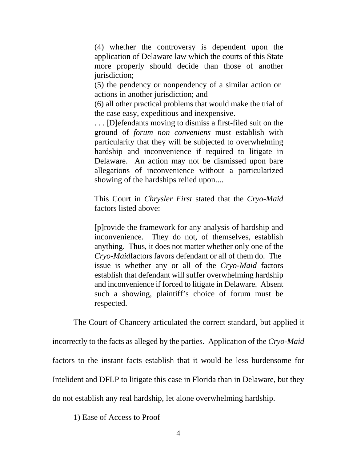(4) whether the controversy is dependent upon the application of Delaware law which the courts of this State more properly should decide than those of another jurisdiction;

(5) the pendency or nonpendency of a similar action or actions in another jurisdiction; and

(6) all other practical problems that would make the trial of the case easy, expeditious and inexpensive.

. . . [D]efendants moving to dismiss a first-filed suit on the ground of *forum non conveniens* must establish with particularity that they will be subjected to overwhelming hardship and inconvenience if required to litigate in Delaware. An action may not be dismissed upon bare allegations of inconvenience without a particularized showing of the hardships relied upon....

This Court in *Chrysler First* stated that the *Cryo-Maid* factors listed above:

[p]rovide the framework for any analysis of hardship and inconvenience. They do not, of themselves, establish anything. Thus, it does not matter whether only one of the *Cryo-Maid*factors favors defendant or all of them do. The issue is whether any or all of the *Cryo-Maid* factors establish that defendant will suffer overwhelming hardship and inconvenience if forced to litigate in Delaware. Absent such a showing, plaintiff's choice of forum must be respected.

The Court of Chancery articulated the correct standard, but applied it incorrectly to the facts as alleged by the parties. Application of the *Cryo-Maid* factors to the instant facts establish that it would be less burdensome for Intelident and DFLP to litigate this case in Florida than in Delaware, but they do not establish any real hardship, let alone overwhelming hardship.

1) Ease of Access to Proof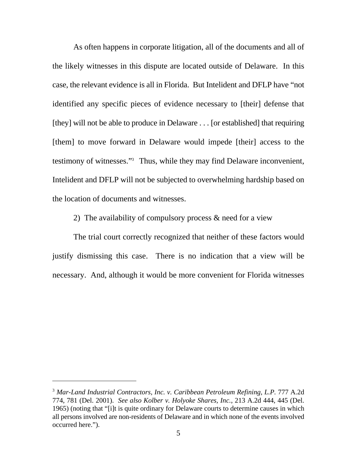As often happens in corporate litigation, all of the documents and all of the likely witnesses in this dispute are located outside of Delaware. In this case, the relevant evidence is all in Florida. But Intelident and DFLP have "not identified any specific pieces of evidence necessary to [their] defense that [they] will not be able to produce in Delaware . . . [or established] that requiring [them] to move forward in Delaware would impede [their] access to the testimony of witnesses."<sup>3</sup> Thus, while they may find Delaware inconvenient, Intelident and DFLP will not be subjected to overwhelming hardship based on the location of documents and witnesses.

2) The availability of compulsory process & need for a view

The trial court correctly recognized that neither of these factors would justify dismissing this case. There is no indication that a view will be necessary. And, although it would be more convenient for Florida witnesses

<sup>&</sup>lt;sup>3</sup> Mar-Land Industrial Contractors, Inc. v. Caribbean Petroleum Refining, L.P. 777 A.2d 774, 781 (Del. 2001). *See also Kolber v. Holyoke Shares, Inc.*, 213 A.2d 444, 445 (Del. 1965) (noting that "[i]t is quite ordinary for Delaware courts to determine causes in which all persons involved are non-residents of Delaware and in which none of the events involved occurred here.").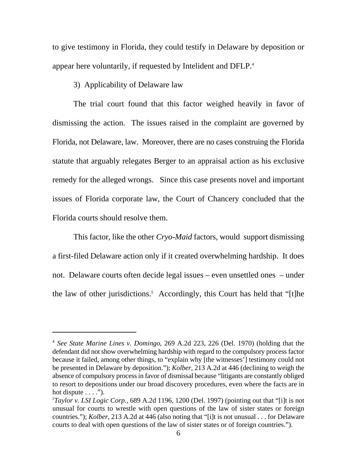to give testimony in Florida, they could testify in Delaware by deposition or appear here voluntarily, if requested by Intelident and DFLP.<sup>4</sup>

# 3) Applicability of Delaware law

The trial court found that this factor weighed heavily in favor of dismissing the action. The issues raised in the complaint are governed by Florida, not Delaware, law. Moreover, there are no cases construing the Florida statute that arguably relegates Berger to an appraisal action as his exclusive remedy for the alleged wrongs. Since this case presents novel and important issues of Florida corporate law, the Court of Chancery concluded that the Florida courts should resolve them.

This factor, like the other *Cryo-Maid* factors, would support dismissing a first-filed Delaware action only if it created overwhelming hardship. It does not. Delaware courts often decide legal issues – even unsettled ones – under the law of other jurisdictions.<sup>5</sup> Accordingly, this Court has held that "[t]he

<sup>&</sup>lt;sup>4</sup> See State Marine Lines v. Domingo, 269 A.2d 223, 226 (Del. 1970) (holding that the defendant did not show overwhelming hardship with regard to the compulsory process factor because it failed, among other things, to "explain why [the witnesses'] testimony could not be presented in Delaware by deposition."); *Kolber*, 213 A.2d at 446 (declining to weigh the absence of compulsory process in favor of dismissal because "litigants are constantly obliged to resort to depositions under our broad discovery procedures, even where the facts are in hot dispute  $\dots$ .").

 $Taylor$  v. LSI Logic Corp., 689 A.2d 1196, 1200 (Del. 1997) (pointing out that "[i]t is not unusual for courts to wrestle with open questions of the law of sister states or foreign countries."); *Kolber*, 213 A.2d at 446 (also noting that "[i]t is not unusual . . . for Delaware courts to deal with open questions of the law of sister states or of foreign countries.").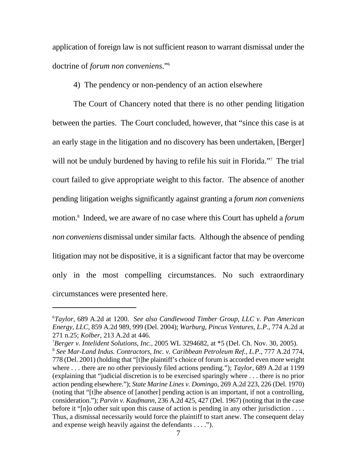application of foreign law is not sufficient reason to warrant dismissal under the doctrine of *forum non conveniens*." 6

4) The pendency or non-pendency of an action elsewhere

The Court of Chancery noted that there is no other pending litigation between the parties. The Court concluded, however, that "since this case is at an early stage in the litigation and no discovery has been undertaken, [Berger] will not be unduly burdened by having to refile his suit in Florida."<sup>7</sup> The trial court failed to give appropriate weight to this factor. The absence of another pending litigation weighs significantly against granting a *forum non conveniens* motion.<sup>8</sup> Indeed, we are aware of no case where this Court has upheld a *forum non conveniens* dismissal under similar facts. Although the absence of pending litigation may not be dispositive, it is a significant factor that may be overcome only in the most compelling circumstances. No such extraordinary circumstances were presented here.

*Taylor*, 689 A.2d at 1200. *See also Candlewood Timber Group, LLC v. Pan American* <sup>6</sup> *Energy, LLC*, 859 A.2d 989, 999 (Del. 2004); *Warburg, Pincus Ventures, L.P.*, 774 A.2d at 271 n.25; *Kolber*, 213 A.2d at 446.

*Berger v. Intelident Solutions, Inc.*, 2005 WL 3294682, at \*5 (Del. Ch. Nov. 30, 2005). <sup>7</sup>

<sup>&</sup>lt;sup>8</sup> See Mar-Land Indus. Contractors, Inc. v. Caribbean Petroleum Ref., L.P., 777 A.2d 774, 778 (Del. 2001) (holding that "[t]he plaintiff's choice of forum is accorded even more weight where . . . there are no other previously filed actions pending."); *Taylor*, 689 A.2d at 1199 (explaining that "judicial discretion is to be exercised sparingly where . . . there is no prior action pending elsewhere."); *State Marine Lines v. Domingo*, 269 A.2d 223, 226 (Del. 1970) (noting that "[t]he absence of [another] pending action is an important, if not a controlling, consideration."); *Parvin v. Kaufmann*, 236 A.2d 425, 427 (Del. 1967) (noting that in the case before it "[n]o other suit upon this cause of action is pending in any other jurisdiction . . . . Thus, a dismissal necessarily would force the plaintiff to start anew. The consequent delay and expense weigh heavily against the defendants . . . .").